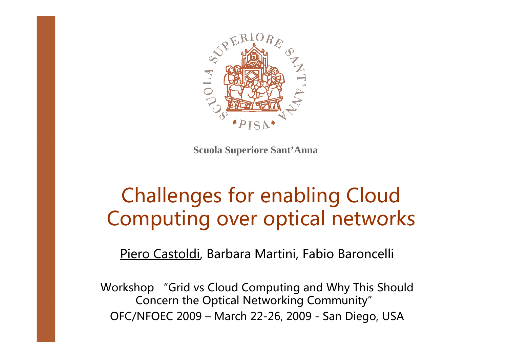

**Scuola Superiore Sant'Anna**

# Challenges for enabling Cloud Computing over optical networks

Piero Castoldi, Barbara Martini, Fabio Baroncelli

Workshop "Grid vs Cloud Computing and Why This Should Concern the Optical Networking Community" OFC/NFOEC 2009 – March 22-26, 2009 - San Diego, USA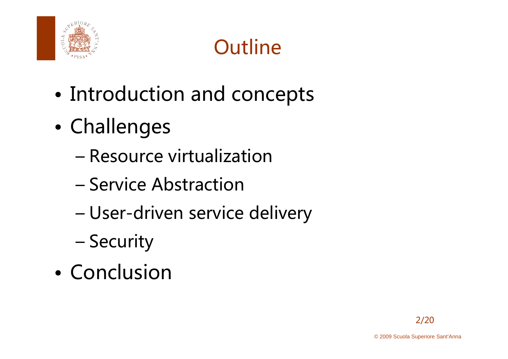

# **Outline**

- •• Introduction and concepts
- $\bullet$  Challenges
	- –Resource virtualization
	- –– Service Abstraction
	- –User-driven service delivery
	- –**Security**
- Conclusion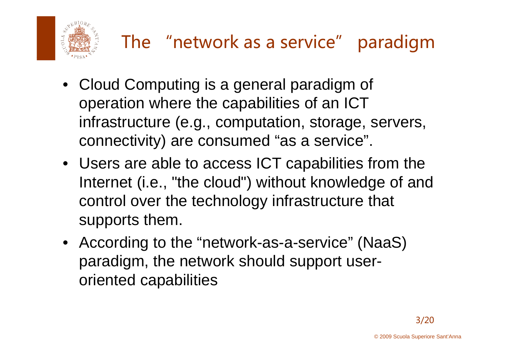

- Cloud Computing is a general paradigm of operation where the capabilities of an ICT infrastructure (e.g., computation, storage, servers, connectivity) are consumed "as a service".
- Users are able to access ICT capabilities from the Internet (i.e., "the cloud") without knowledge of and control over the technology infrastructure that supports them.
- According to the "network-as-a-service" (NaaS) paradigm, the network should support user oriented capabilities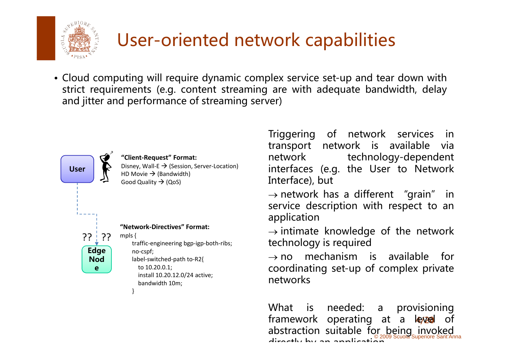

### User-oriented network capabilities

• Cloud computing will require dynamic complex service set-up and tear down with strict requirements (e.g. content streaming are with adequate bandwidth, delay and jitter and performance of streaming server)



**"Client‐Request" Format:** Disney, Wall-E  $\rightarrow$  (Session, Server-Location) HD Movie  $\rightarrow$  (Bandwidth) Good Quality  $\rightarrow$ 

**"Network‐Directives" Format:**

}

mpls { traffic‐engineering bgp‐igp‐both‐ribs; no‐cspf; label‐switched‐path to‐R2{ to 10.20.0.1; install 10.20.12.0/24 active; bandwidth 10m;

Triggerin gg g of networ k services in transport network is available via network technology-dependent interfaces (e.g. the User to Network Interface), but

 $\rightarrow$  network has a different "grain" in service description with respect to an application

 $\rightarrow$  intimate knowledge of the network technology is required

 $\rightarrow$  no mechanism is available for coordinating set-up of complex private networks

abstraction suitable for being invoked framework operating at a leyvel of What is needed: <sup>a</sup> provisioning directly by an application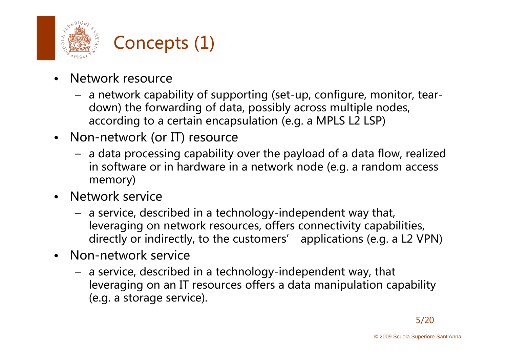



- • Network resource
	- $\,$  a network capability of supporting (set-up, configure, monitor, teardown) the forwarding of data, possibly across multiple nodes, according to a certain encapsulation (e.g. a MPLS L2 LSP)
- $\bullet$ Non-network (or IT) resource
	- a data processing capability over the payload of a data flow, realized in software or in hardware in a network node (e.g. a random access memory)
- • Network service
	- a service, described in a technology-independent way that, leveraging on network resources, offers connectivity capabilities, directly or indirectly, to the customers' applications (e.g. a L2 VPN)
- • Non-network service
	- a service, described in a technology-independent way, that leveraging on an IT resources offers a data manipulation capability (e.g. <sup>a</sup> storage service).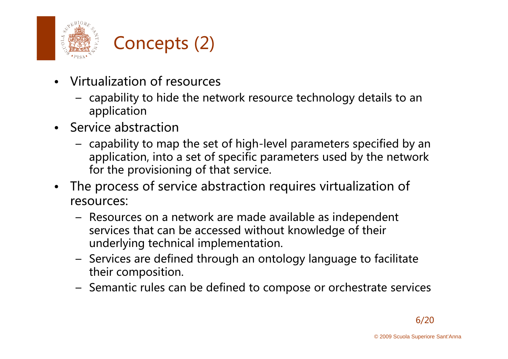



- Virtualization of resources
	- $-$  capability to hide the network resource technology details to an  $\,$ application
- Service abstraction
	- capability to map the set of high-level parameters specified by an application, into a set of specific parameters used by the network for the provisioning of that service.
- $\bullet$  The process of service abstraction requires virtualization of resources:
	- Resources on a network are made available as independent services that can be accessed without knowledge of their underlying technical implementation.
	- $-$  Services are defined through an ontology language to facilitate their composition.
	- Semantic rules can be defined to compose or orchestrate services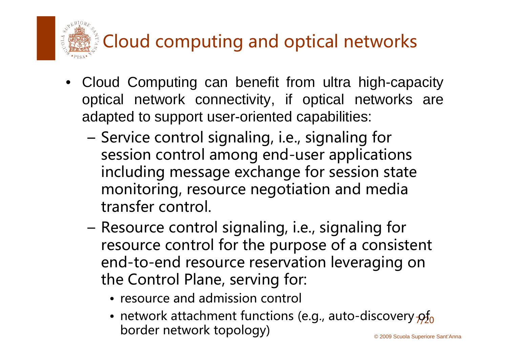Cloud computing and optical networks

- Cloud Computing can benefit from ultra high-capacity optical network connectivity, if optical networks are adapted to support user-oriented capabilities:
	- Service control signaling, i.e., signaling for session control among end-user applications including message exchange for session state monitoring, resource negotiation and media transfer control.
	- – Resource control signaling, i.e., signaling for resource control for the purpose of a consistent end-to-end resource reservation leveraging on the Control Plane, serving for:
		- resource and admission control
		- © 2009 Scuola Superiore Sant'Anna • network attachment functions (e.g., auto-discovery  $\beta_{0}^{f}$ border network topology)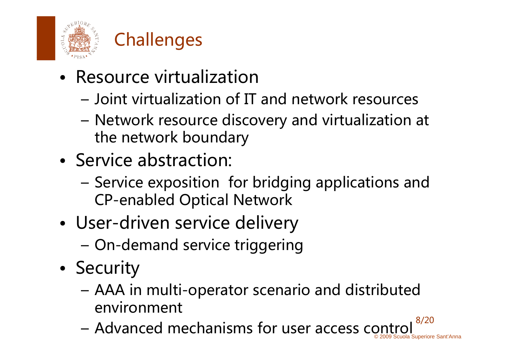



- Resource virtualization
	- Joint virtualization of IT and network resources
	- Network resource discovery and virtualization at the network boundary
- Service abstraction:
	- Service exposition for bridging applications and CP-enabled Optical Network
- •• User-driven service delivery
	- –On-demand service triggering
- •**Security** 
	- AAA in multi-operator scenario and distributed ienvironment
	- © 2009 Scuola Superiore Sant'Anna 8/20 – Advanced mechanisms for user access control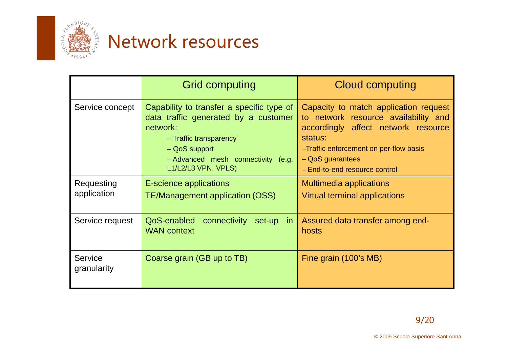

## Network resources

|                               | <b>Grid computing</b>                                                                                                                                                                                 | <b>Cloud computing</b>                                                                                                                                                                                                           |
|-------------------------------|-------------------------------------------------------------------------------------------------------------------------------------------------------------------------------------------------------|----------------------------------------------------------------------------------------------------------------------------------------------------------------------------------------------------------------------------------|
| Service concept               | Capability to transfer a specific type of<br>data traffic generated by a customer<br>network:<br>- Traffic transparency<br>- QoS support<br>- Advanced mesh connectivity (e.g.<br>L1/L2/L3 VPN, VPLS) | Capacity to match application request<br>to network resource availability and<br>accordingly affect network resource<br>status:<br>-Traffic enforcement on per-flow basis<br>$-$ QoS guarantees<br>- End-to-end resource control |
| Requesting<br>application     | <b>E-science applications</b><br><b>TE/Management application (OSS)</b>                                                                                                                               | <b>Multimedia applications</b><br>Virtual terminal applications                                                                                                                                                                  |
| Service request               | connectivity set-up in<br>QoS-enabled<br><b>WAN</b> context                                                                                                                                           | Assured data transfer among end-<br>hosts                                                                                                                                                                                        |
| <b>Service</b><br>granularity | Coarse grain (GB up to TB)                                                                                                                                                                            | Fine grain (100's MB)                                                                                                                                                                                                            |
|                               |                                                                                                                                                                                                       |                                                                                                                                                                                                                                  |
|                               |                                                                                                                                                                                                       | 9/20                                                                                                                                                                                                                             |
|                               |                                                                                                                                                                                                       | © 2009 Scuola Superiore Sant'Anna                                                                                                                                                                                                |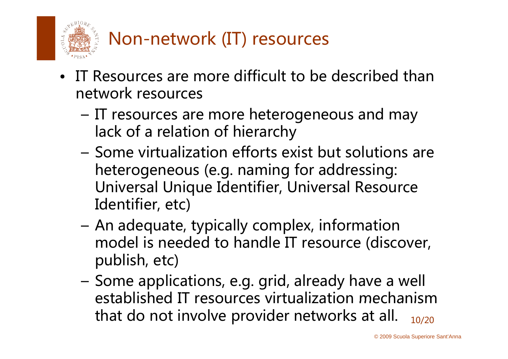

- • IT Resources are more difficult to be described than network resources
	- – IT resources are more heterogeneous and may lack of a relation of hierarch y
	- Some virtualization efforts exist but solutions are heterogeneous (e.g. naming for addressing: Universal Unique Identifier, Universal Resource Identifier, etc)
	- An adequate, typically complex, information model is needed to handle IT resource (discover, publish, etc)
	- <del>katalog katalog a</del> Some applications, e.g. grid, already have a well established IT resources virtualization mechanism 10/20 that do not involve provider networks at all.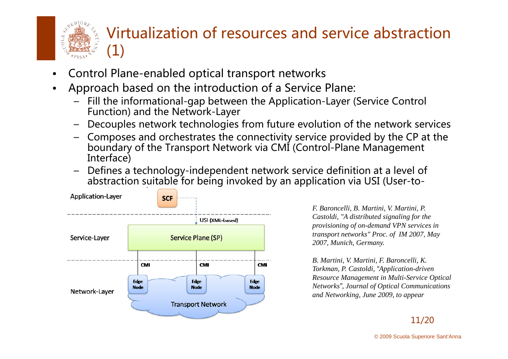

### Virtualization of resources and service abstraction  $\left( 1\right)$

- •Control Plane-enabled optical transport networks
- • Approach based on the introduction of a Service Plane:
	- Fill the informational-gap between the Application-Layer (Service Control Function) and the Network-Layer
	- Decouples network technologies from future evolution of the network services
	- –Composes and orchestrates the connectivity service provided by the CP at the boundary of the Transport Network via CMI (Control-Plane Management Interface)
	- Defines a technology-independent network service definition at a level of abstraction suitable for being invoked by an application via USI (User-to-



*F. Baroncelli, B. Martini, V. Martini, P. Castoldi, "A distributed signaling for the provisioning of on-demand VPN services in transport networks" Proc. of IM 2007, May 2007, Munich, Germany.* 

*B Martini V Martini F Baroncelli K B. Martini, V. Martini, F. Baroncelli, K. Torkman, P. Castoldi, "Application-driven Resource Management in Multi-Service Optical Networks", Journal of Optical Communications and Networking, June 2009, to appear*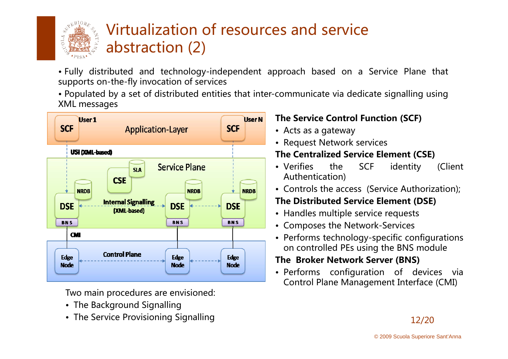

### Virtualization of resources and service abstraction (2)

• Fully distributed and technology-independent approach based on <sup>a</sup> Service Plane that supports on-the-fly invocation of services

 $\bullet$  Populated by a set of distributed entities that inter-communicate via dedicate signalling using XML messages



Two main procedures are envisioned:

- $\bullet\,$  The Background Signalling
- The Service Provisioning Signalling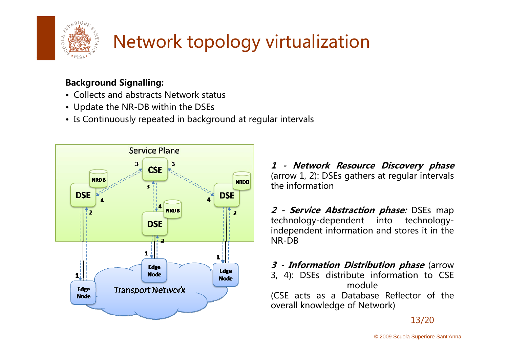

# Network topology virtualization

#### Background Signalling:

- Collects and abstracts Network status
- Update the NR-DB within the DSEs
- Is Continuously repeated in background at regular intervals



1 - Network Resource Discovery phase (arrow 1, 2): DSEs gathers at re gular intervals the information

2 - Service Abstraction phase: DSEs map technology-dependent into technologyindependent information and stores it in the NR-DB

3 - Information Distribution phase (arrow 3, 4): DSEs distribute information to CSE module(CSE acts as <sup>a</sup> Database Reflector of the overall knowledge <sup>o</sup> f Network)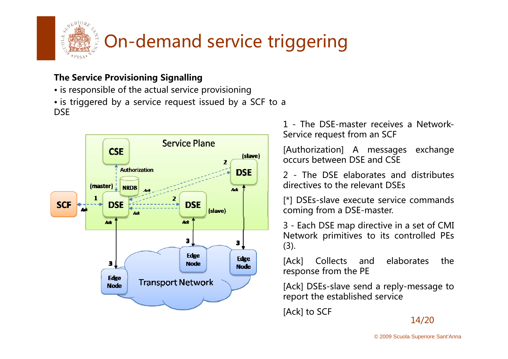

#### The Service Provisioning Signalling

- is responsible of the actual service provisioning
- is triggered by <sup>a</sup> service request issued by <sup>a</sup> SCF to <sup>a</sup> **DSE**



1 - The DSE-master receives <sup>a</sup> Network-Service re quest from an SCF

[Authorization] A messages exchange occurs between DSE and CSE

2 - The DSE elaborates and distributes directives to the relevant DSEs

[\*] DSEs-slave execute service commands coming from <sup>a</sup> DSE-master.

3 - Each DSE map directive in <sup>a</sup> set <sup>o</sup> f CMI Network primitives to its controlled PEs (3).

[Ack] Collects and elaborates the response from the PE

[Ack] DSEs-slave send a reply-message to re port the established service

[Ack] to SCF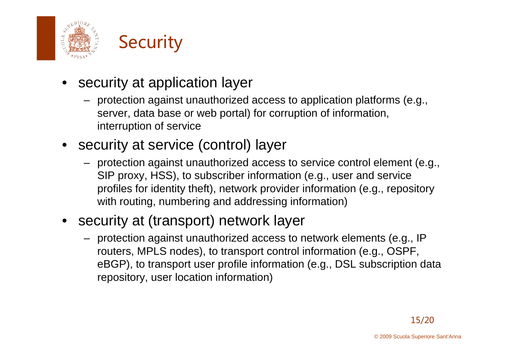



- security at application layer
	- protection against unauthorized access to application platforms (e.g., server, data base or web portal) for corruption of information, interruption of service
- security at service (control) layer
	- protection against unauthorized access to service control element (e.g., SIP proxy, HSS), to subscriber information (e.g., user and service profiles for identity theft), network provider information (e.g., repository with routing, numbering and addressing information)
- security at (transport) network layer
	- protection against unauthorized access to network elements (e.g., IP routers, MPLS nodes), to transport control information (e.g., OSPF, eBGP), to transport user profile information (e.g., DSL subscription data repository, user location information)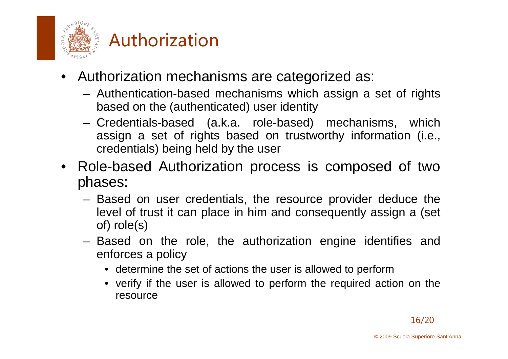

### Authorization

- Authorization mechanisms are categorized as:
	- Authentication-based mechanisms which assign <sup>a</sup> set of rights based on the (authenticated) user identity
	- Credentials-based (a.k.a. role-based) mechanisms, which assign <sup>a</sup> set of rights based on trustworthy information (i.e., credentials) being held by the user
- Role-based Authorization process is composed of two phases:
	- Based on user credentials, the resource provider deduce the level of trust it can place in him and consequently assign <sup>a</sup> (set of) role(s)
	- Based on the role, the authorization engine identifies and enforces a policy
		- determine the set of actions the user is allowed to perform
		- verify if the user is allowed to perform the required action on the resource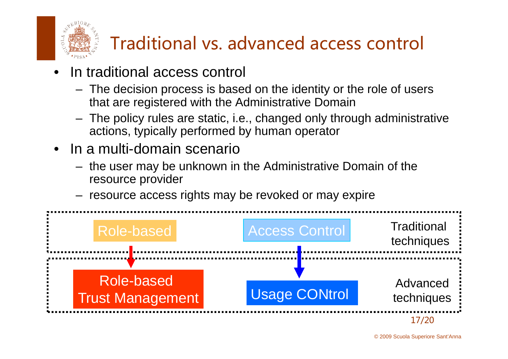

# Traditional vs. advanced access control

- • In traditional access control
	- The decision process is based on the identity or the role of users that are registered with the Administrative Domain
	- The policy rules are static, i.e., changed only through administrative actions, typically performed by human operator
- • In a multi-domain scenario
	- the user may be unknown in the Administrative Domain of the resource provider
	- resource access rights may be revoked or may expire

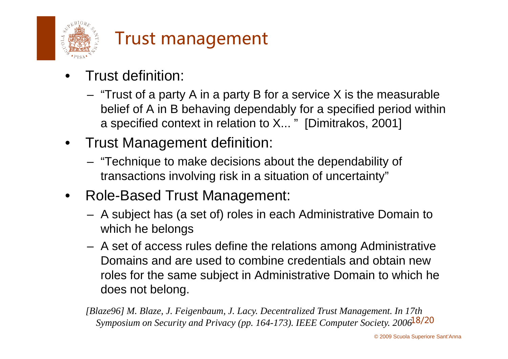

### Trust management

- • Trust definition:
	- "Trust of a party A in a party B for a service X is the measurable belief of A in B behaving dependably for a specified period within a specified context in relation to X... " [Dimitrakos, 2001]
- $\bullet$ • Trust Management definition:
	- "Technique to make decisions about the dependability of transactions involving risk in <sup>a</sup> situation of uncertainty "
- $\bullet$  Role-Based Trust Management:
	- A subject has (a set of) roles in each Administrative Domain to which he belongs
	- A set of access rules define the relations among Administrative Domains and are used to combine credentials and obtain new roles for the same subject in Administrative Domain to which he does not belong.

Symposium on Security and Privacy (pp. 164-173). IEEE Computer Society. 2006<sup>18</sup>/20 *[Blaze96] M. Blaze, J. Feigenbaum, J. Lacy. Decentralized Trust Management. In 17th*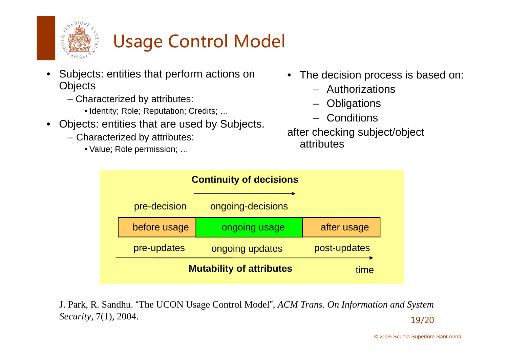

### Usage Control Model

- • Subjects: entities that perform actions on **Objects** 
	- Characterized by attributes:
		- Identity; Role; Reputation; Credits; …
- Objects: entities that are used by Subjects.
	- Characterized by attributes: attributes attributes:
		- Value; Role permission; …
- The decision process is based on:
	- –Authorizations
	- –**Obligations**
	- –**Conditions**

after checking subject/object



**J. Park, R. Sandhu. "The UCON Usage Control Model", ACM Trans. On Information and System** 19/20 *Security*, 7(1), 2004.

© 2009 Scuola Superiore Sant'Anna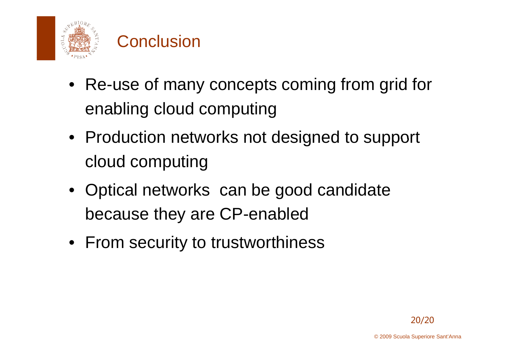

### **Conclusion**

- Re-use of many concepts coming from grid for enabling cloud computing
- Production networks not designed to support cloud computing
- Optical networks can be good candidate because they are CP-enabled
- From security to trustworthiness